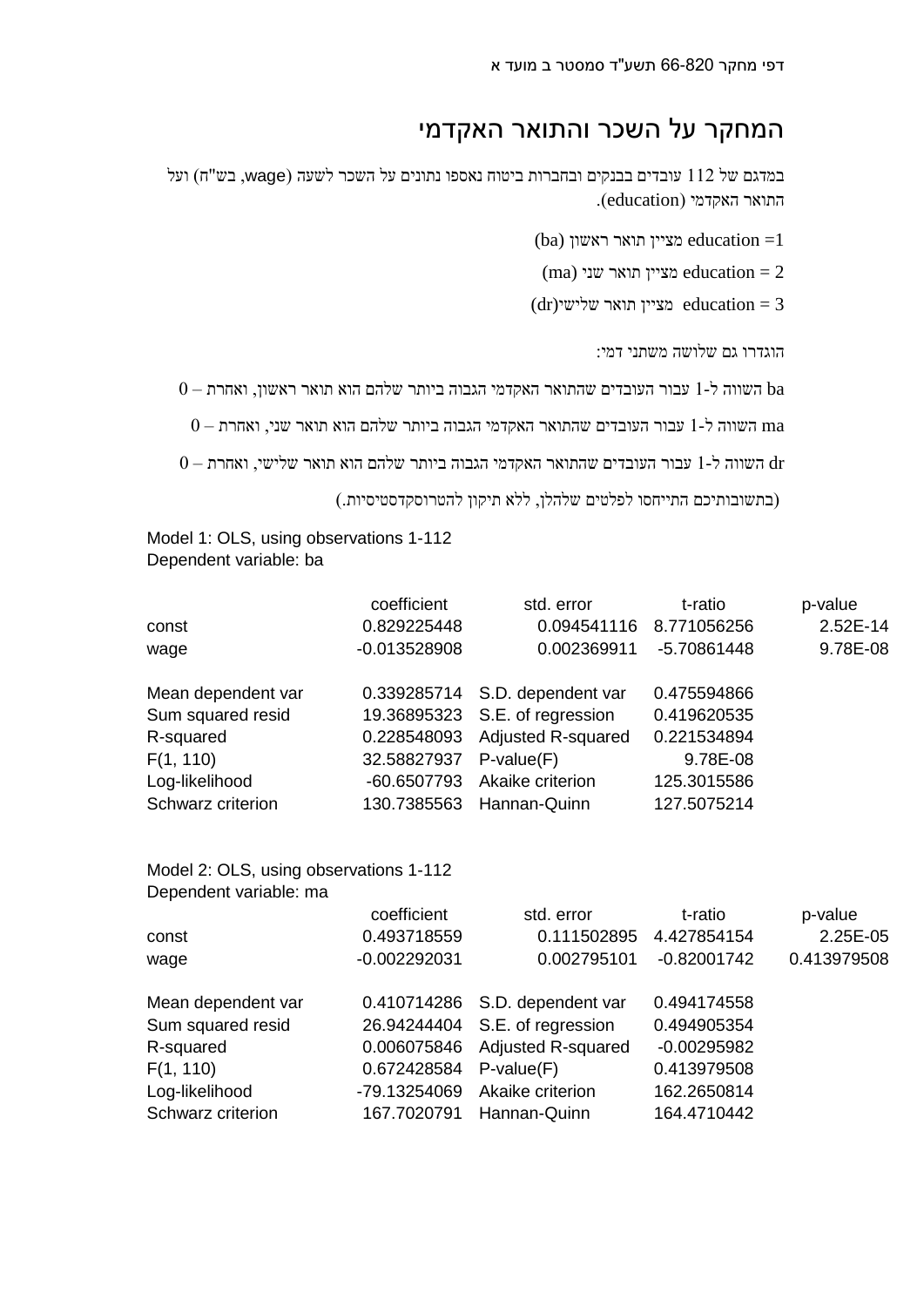## המחקר על השכר והתואר האקדמי

במדגם של 112 עובדים בבנקים ובחברות ביטוח נאספו נתונים על השכר לשעה )wage, בש"ח( ועל התואר האקדמי )education).

(ba) מציין תואר ראשון  $education = 1$ 

(ma) מציין תואר שני education  $=2$ 

 $dr$  מציין תואר שלישי education = 3

הוגדרו גם שלושה משתני דמי:

 $0-$  השווה ל-1 עבור העובדים שהתואר האקדמי הגבוה ביותר שלהם הואר ראשון, ואחרת  $\rm{ba}$ 

 $0-$  השווה ל-1 עבור העובדים שהתואר האקדמי הגבוה ביותר שלהם הואר שני, ואחרת  $\mathrm{m}\mathrm{a}$ 

 $0-$  השווה ל-1 עבור העובדים שהתואר האקדמי הגבוה ביותר שלהם שלישי, ואחרת  $\rm dr$ 

)בתשובותיכם התייחסו לפלטים שלהלן, ללא תיקון להטרוסקדסטיסיות.(

Model 1: OLS, using observations 1-112 Dependent variable: ba

|                    | coefficient    | std. error                     | t-ratio     | p-value  |
|--------------------|----------------|--------------------------------|-------------|----------|
| const              | 0.829225448    | 0.094541116                    | 8.771056256 | 2.52E-14 |
| wage               | $-0.013528908$ | 0.002369911                    | -5.70861448 | 9.78E-08 |
|                    |                |                                |             |          |
| Mean dependent var |                | 0.339285714 S.D. dependent var | 0.475594866 |          |
| Sum squared resid  |                | 19.36895323 S.E. of regression | 0.419620535 |          |
| R-squared          | 0.228548093    | <b>Adjusted R-squared</b>      | 0.221534894 |          |
| F(1, 110)          | 32.58827937    | $P-value(F)$                   | 9.78E-08    |          |
| Log-likelihood     | -60.6507793    | Akaike criterion               | 125.3015586 |          |
| Schwarz criterion  | 130.7385563    | Hannan-Quinn                   | 127.5075214 |          |

## Model 2: OLS, using observations 1-112 Dependent variable: ma

|                    | coefficient    | std. error                     | t-ratio       | p-value     |
|--------------------|----------------|--------------------------------|---------------|-------------|
| const              | 0.493718559    | 0.111502895                    | 4.427854154   | 2.25E-05    |
| wage               | $-0.002292031$ | 0.002795101                    | $-0.82001742$ | 0.413979508 |
| Mean dependent var |                | 0.410714286 S.D. dependent var | 0.494174558   |             |
| Sum squared resid  |                | 26.94244404 S.E. of regression | 0.494905354   |             |
| R-squared          | 0.006075846    | <b>Adjusted R-squared</b>      | $-0.00295982$ |             |
| F(1, 110)          | 0.672428584    | $P-value(F)$                   | 0.413979508   |             |
| Log-likelihood     | -79.13254069   | Akaike criterion               | 162.2650814   |             |
| Schwarz criterion  | 167.7020791    | Hannan-Quinn                   | 164.4710442   |             |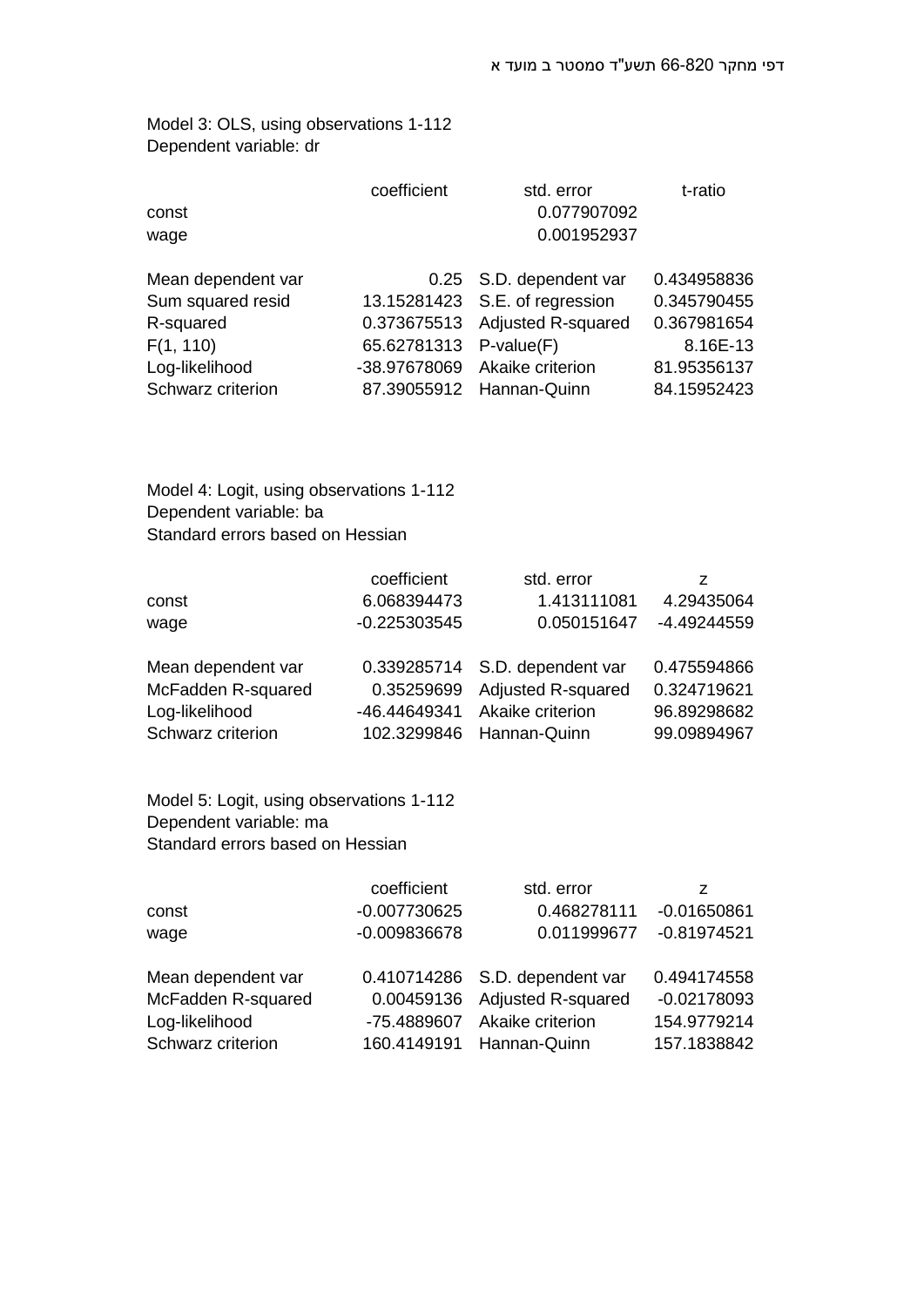Model 3: OLS, using observations 1-112 Dependent variable: dr

|                    | coefficient            | std. error                     | t-ratio     |
|--------------------|------------------------|--------------------------------|-------------|
| const              |                        | 0.077907092                    |             |
| wage               |                        | 0.001952937                    |             |
| Mean dependent var |                        | 0.25 S.D. dependent var        | 0.434958836 |
| Sum squared resid  |                        | 13.15281423 S.E. of regression | 0.345790455 |
| R-squared          |                        | 0.373675513 Adjusted R-squared | 0.367981654 |
| F(1, 110)          | 65.62781313 P-value(F) |                                | 8.16E-13    |
| Log-likelihood     |                        | -38.97678069 Akaike criterion  | 81.95356137 |
| Schwarz criterion  |                        | 87.39055912 Hannan-Quinn       | 84.15952423 |

Model 4: Logit, using observations 1-112 Dependent variable: ba Standard errors based on Hessian

|                    | coefficient    | std. error         |             |
|--------------------|----------------|--------------------|-------------|
| const              | 6.068394473    | 1.413111081        | 4.29435064  |
| wage               | $-0.225303545$ | 0.050151647        | -4.49244559 |
| Mean dependent var | 0.339285714    | S.D. dependent var | 0.475594866 |
| McFadden R-squared | 0.35259699     | Adjusted R-squared | 0.324719621 |
| Log-likelihood     | -46.44649341   | Akaike criterion   | 96.89298682 |
| Schwarz criterion  | 102.3299846    | Hannan-Quinn       | 99.09894967 |

Model 5: Logit, using observations 1-112 Dependent variable: ma Standard errors based on Hessian

|                    | coefficient    | std. error                     |               |
|--------------------|----------------|--------------------------------|---------------|
| const              | -0.007730625   | 0.468278111                    | $-0.01650861$ |
| wage               | $-0.009836678$ | 0.011999677                    | $-0.81974521$ |
| Mean dependent var |                | 0.410714286 S.D. dependent var | 0.494174558   |
| McFadden R-squared | 0.00459136     | <b>Adjusted R-squared</b>      | $-0.02178093$ |
| Log-likelihood     | -75.4889607    | Akaike criterion               | 154.9779214   |
| Schwarz criterion  | 160.4149191    | Hannan-Quinn                   | 157.1838842   |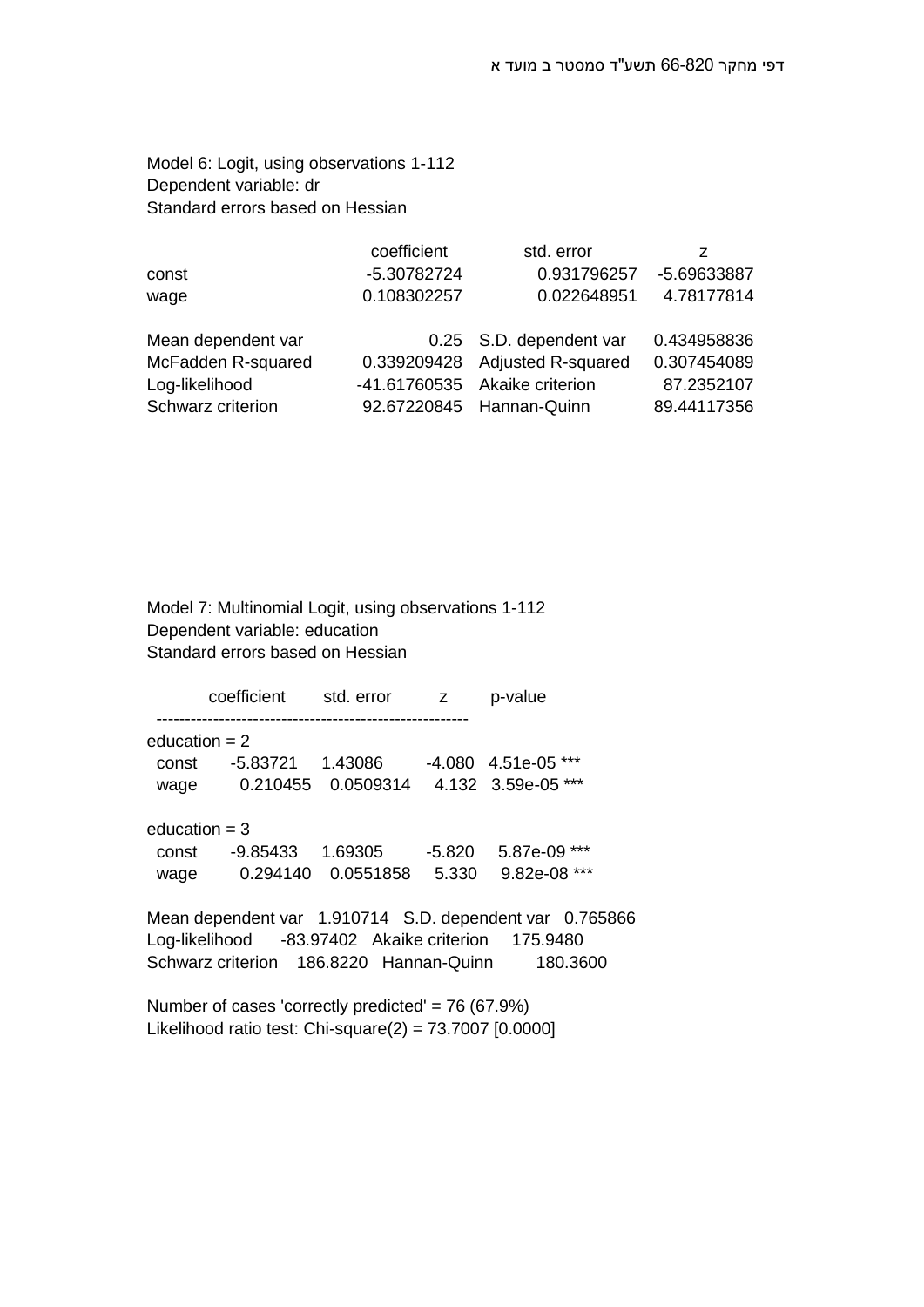Model 6: Logit, using observations 1-112 Dependent variable: dr Standard errors based on Hessian

|                    | coefficient | std. error                    | z           |
|--------------------|-------------|-------------------------------|-------------|
| const              | -5.30782724 | 0.931796257                   | -5.69633887 |
| wage               | 0.108302257 | 0.022648951                   | 4.78177814  |
| Mean dependent var |             | 0.25 S.D. dependent var       | 0.434958836 |
| McFadden R-squared | 0.339209428 | <b>Adjusted R-squared</b>     | 0.307454089 |
| Log-likelihood     |             | -41.61760535 Akaike criterion | 87.2352107  |
| Schwarz criterion  |             | 92.67220845 Hannan-Quinn      | 89.44117356 |

Model 7: Multinomial Logit, using observations 1-112 Dependent variable: education Standard errors based on Hessian

coefficient std. error z p-value ------------------------------------------------------ education  $= 2$  const -5.83721 1.43086 -4.080 4.51e-05 \*\*\* wage 0.210455 0.0509314 4.132 3.59e-05 \*\*\* education  $= 3$  const -9.85433 1.69305 -5.820 5.87e-09 \*\*\* wage 0.294140 0.0551858 5.330 9.82e-08 \*\*\* Mean dependent var 1.910714 S.D. dependent var 0.765866 Log-likelihood -83.97402 Akaike criterion 175.9480 Schwarz criterion 186.8220 Hannan-Quinn 180.3600

Number of cases 'correctly predicted' = 76 (67.9%) Likelihood ratio test: Chi-square $(2)$  = 73.7007  $[0.0000]$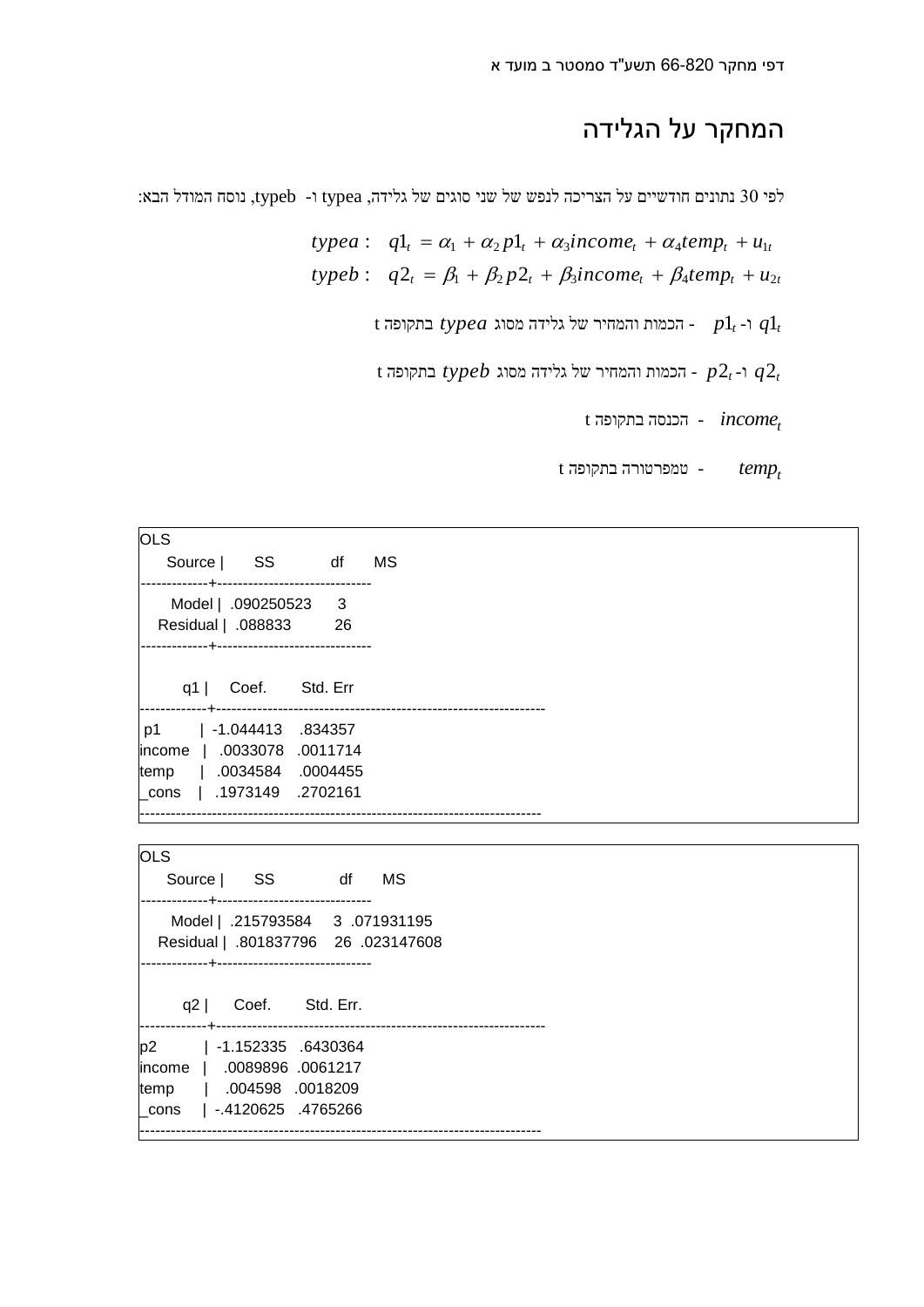## המחקר על הגלידה

לפי 30 נתונים חודשיים על הצריכה לנפש של שני סוגים של גלידה, typea ו- typea נוסח המודל הבא:<br>  $typea: \quad q1_t = \alpha_1 + \alpha_2 p1_t + \alpha_3 income_t + \alpha_4 temp_t + u_{1t}$ י 1990 נתונים חודשיים על הצריכה לנפש של שני סוגים של גלידה, typea נתונים חודשיים על הצריכה<br>
19*typea* :  $q1_t = \alpha_1 + \alpha_2 p1_t + \alpha_3 income_t + \alpha_4 temp_t + u_{1t}$ typea:  $q1_{t} = \alpha_{1} + \alpha_{2} p1_{t} + \alpha_{3} \text{income}_{t} + \alpha_{4} \text{temp}_{t} + u_{1t}$ <br>typeb:  $q2_{t} = \beta_{1} + \beta_{2} p2_{t} + \beta_{3} \text{income}_{t} + \beta_{4} \text{temp}_{t} + u_{2t}$ 

 $t$  1 - הכמות והמחיר של גלידה מסוג  $t$  1 $q$ 1  $q$ 1 -  $q$ 1  $q$ 1

 $t$  1 - ר $p$ 2 $t$   $p$   $\epsilon$   $p$   $q$   $q$   $q$ 

*t incomet* - הכנסה בתקופה t *temp* - טמפרטורה בתקופה t

| <b>OLS</b>                         |                              |    |
|------------------------------------|------------------------------|----|
| Source SS df                       |                              | MS |
| ---------------------------------- |                              |    |
| Model   .090250523                 | $\overline{\phantom{a}}$ 3   |    |
| Residual   .088833                 | 26                           |    |
| .                                  | ---------------------------- |    |
|                                    |                              |    |
| q1                                 | Coef. Std. Err               |    |
| --------------------------------   |                              |    |
| p1                                 | $  -1.044413 .834357$        |    |
| income                             | .0033078 .0011714            |    |
| temp   .0034584                    | .0004455                     |    |
| cons                               | 1973149 .2702161             |    |
|                                    |                              |    |

**OLS** Source | SS df MS -------------+------------------------------ Model | .215793584 3 .071931195 Residual | .801837796 26 .023147608 -------------+----------------------------- q2 | Coef. Std. Err. -------------+--------------------------------------------------------------- p2 | -1.152335 .6430364 income | .0089896 .0061217 temp | .004598 .0018209 \_cons | -.4120625 .4765266 ------------------------------------------------------------------------------